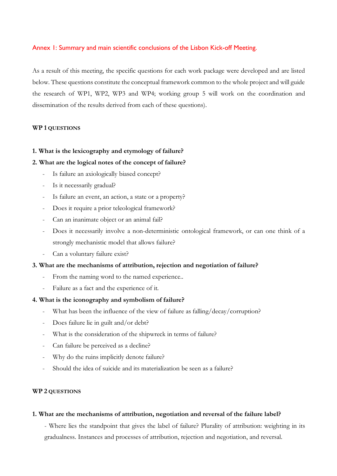# Annex 1: Summary and main scientific conclusions of the Lisbon Kick-off Meeting.

As a result of this meeting, the specific questions for each work package were developed and are listed below. These questions constitute the conceptual framework common to the whole project and will guide the research of WP1, WP2, WP3 and WP4; working group 5 will work on the coordination and dissemination of the results derived from each of these questions).

# **WP 1 QUESTIONS**

# **1. What is the lexicography and etymology of failure?**

# **2. What are the logical notes of the concept of failure?**

- Is failure an axiologically biased concept?
- Is it necessarily gradual?
- Is failure an event, an action, a state or a property?
- Does it require a prior teleological framework?
- Can an inanimate object or an animal fail?
- Does it necessarily involve a non-deterministic ontological framework, or can one think of a strongly mechanistic model that allows failure?
- Can a voluntary failure exist?

# **3. What are the mechanisms of attribution, rejection and negotiation of failure?**

- From the naming word to the named experience..
- Failure as a fact and the experience of it.

# **4. What is the iconography and symbolism of failure?**

- What has been the influence of the view of failure as falling/decay/corruption?
- Does failure lie in guilt and/or debt?
- What is the consideration of the shipwreck in terms of failure?
- Can failure be perceived as a decline?
- Why do the ruins implicitly denote failure?
- Should the idea of suicide and its materialization be seen as a failure?

# **WP 2 QUESTIONS**

# **1. What are the mechanisms of attribution, negotiation and reversal of the failure label?**

- Where lies the standpoint that gives the label of failure? Plurality of attribution: weighting in its gradualness. Instances and processes of attribution, rejection and negotiation, and reversal.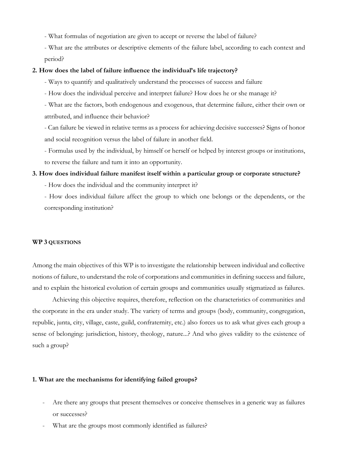- What formulas of negotiation are given to accept or reverse the label of failure?

- What are the attributes or descriptive elements of the failure label, according to each context and period?

### **2. How does the label of failure influence the individual's life trajectory?**

- Ways to quantify and qualitatively understand the processes of success and failure

- How does the individual perceive and interpret failure? How does he or she manage it?

- What are the factors, both endogenous and exogenous, that determine failure, either their own or attributed, and influence their behavior?

- Can failure be viewed in relative terms as a process for achieving decisive successes? Signs of honor and social recognition versus the label of failure in another field.

- Formulas used by the individual, by himself or herself or helped by interest groups or institutions, to reverse the failure and turn it into an opportunity.

# **3. How does individual failure manifest itself within a particular group or corporate structure?**

- How does the individual and the community interpret it?

- How does individual failure affect the group to which one belongs or the dependents, or the corresponding institution?

#### **WP 3 QUESTIONS**

Among the main objectives of this WP is to investigate the relationship between individual and collective notions of failure, to understand the role of corporations and communities in defining success and failure, and to explain the historical evolution of certain groups and communities usually stigmatized as failures.

Achieving this objective requires, therefore, reflection on the characteristics of communities and the corporate in the era under study. The variety of terms and groups (body, community, congregation, republic, junta, city, village, caste, guild, confraternity, etc.) also forces us to ask what gives each group a sense of belonging: jurisdiction, history, theology, nature...? And who gives validity to the existence of such a group?

#### **1. What are the mechanisms for identifying failed groups?**

- Are there any groups that present themselves or conceive themselves in a generic way as failures or successes?
- What are the groups most commonly identified as failures?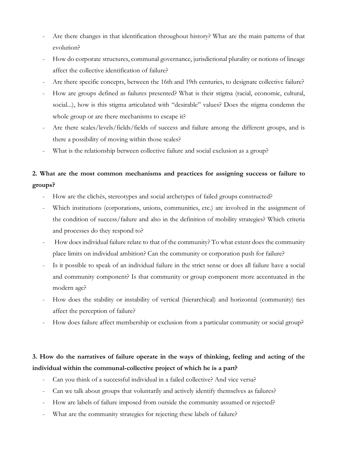- Are there changes in that identification throughout history? What are the main patterns of that evolution?
- How do corporate structures, communal governance, jurisdictional plurality or notions of lineage affect the collective identification of failure?
- Are there specific concepts, between the 16th and 19th centuries, to designate collective failure?
- How are groups defined as failures presented? What is their stigma (racial, economic, cultural, social...), how is this stigma articulated with "desirable" values? Does the stigma condemn the whole group or are there mechanisms to escape it?
- Are there scales/levels/fields/fields of success and failure among the different groups, and is there a possibility of moving within those scales?
- What is the relationship between collective failure and social exclusion as a group?

# **2. What are the most common mechanisms and practices for assigning success or failure to groups?**

- How are the clichés, stereotypes and social archetypes of failed groups constructed?
- Which institutions (corporations, unions, communities, etc.) are involved in the assignment of the condition of success/failure and also in the definition of mobility strategies? Which criteria and processes do they respond to?
- How does individual failure relate to that of the community? To what extent does the community place limits on individual ambition? Can the community or corporation push for failure?
- Is it possible to speak of an individual failure in the strict sense or does all failure have a social and community component? Is that community or group component more accentuated in the modern age?
- How does the stability or instability of vertical (hierarchical) and horizontal (community) ties affect the perception of failure?
- How does failure affect membership or exclusion from a particular community or social group?

# **3. How do the narratives of failure operate in the ways of thinking, feeling and acting of the individual within the communal-collective project of which he is a part?**

- Can you think of a successful individual in a failed collective? And vice versa?
- Can we talk about groups that voluntarily and actively identify themselves as failures?
- How are labels of failure imposed from outside the community assumed or rejected?
- What are the community strategies for rejecting these labels of failure?